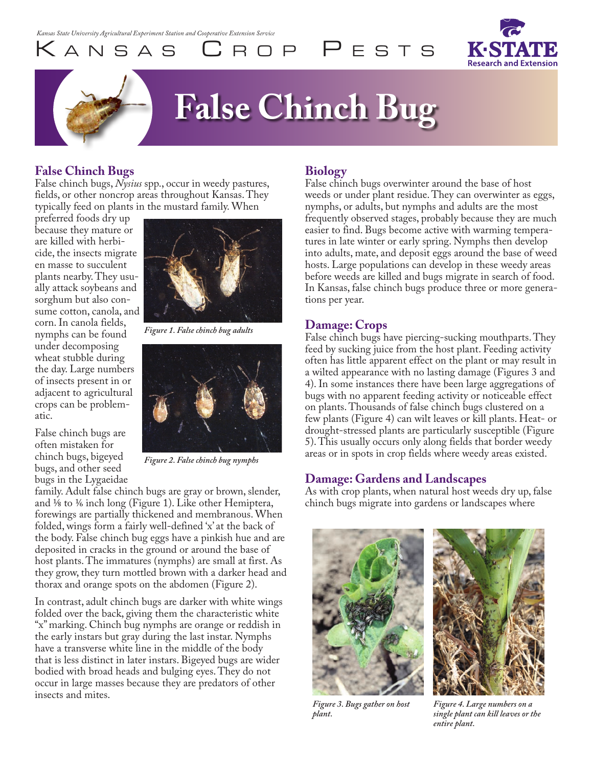K a n s a s C r o p P e s t s



# **False Chinch Bug**

# **False Chinch Bugs**

False chinch bugs, *Nysius* spp., occur in weedy pastures, fields, or other noncrop areas throughout Kansas. They typically feed on plants in the mustard family. When

preferred foods dry up because they mature or are killed with herbicide, the insects migrate en masse to succulent plants nearby. They usually attack soybeans and sorghum but also consume cotton, canola, and corn. In canola fields, nymphs can be found under decomposing wheat stubble during the day. Large numbers of insects present in or adjacent to agricultural crops can be problematic.

False chinch bugs are often mistaken for chinch bugs, bigeyed bugs, and other seed

*Figure 1. False chinch bug adults*



*Figure 2. False chinch bug nymphs*

bugs in the Lygaeidae family. Adult false chinch bugs are gray or brown, slender, and  $\frac{1}{8}$  to  $\frac{1}{6}$  inch long (Figure 1). Like other Hemiptera, forewings are partially thickened and membranous. When folded, wings form a fairly well-defined 'x' at the back of the body. False chinch bug eggs have a pinkish hue and are deposited in cracks in the ground or around the base of host plants. The immatures (nymphs) are small at first. As they grow, they turn mottled brown with a darker head and thorax and orange spots on the abdomen (Figure 2).

In contrast, adult chinch bugs are darker with white wings folded over the back, giving them the characteristic white "x" marking. Chinch bug nymphs are orange or reddish in the early instars but gray during the last instar. Nymphs have a transverse white line in the middle of the body that is less distinct in later instars. Bigeyed bugs are wider bodied with broad heads and bulging eyes. They do not occur in large masses because they are predators of other insects and mites.

## **Biology**

False chinch bugs overwinter around the base of host weeds or under plant residue. They can overwinter as eggs, nymphs, or adults, but nymphs and adults are the most frequently observed stages, probably because they are much easier to find. Bugs become active with warming temperatures in late winter or early spring. Nymphs then develop into adults, mate, and deposit eggs around the base of weed hosts. Large populations can develop in these weedy areas before weeds are killed and bugs migrate in search of food. In Kansas, false chinch bugs produce three or more generations per year.

#### **Damage: Crops**

False chinch bugs have piercing-sucking mouthparts. They feed by sucking juice from the host plant. Feeding activity often has little apparent effect on the plant or may result in a wilted appearance with no lasting damage (Figures 3 and 4). In some instances there have been large aggregations of bugs with no apparent feeding activity or noticeable effect on plants. Thousands of false chinch bugs clustered on a few plants (Figure 4) can wilt leaves or kill plants. Heat- or drought-stressed plants are particularly susceptible (Figure 5). This usually occurs only along fields that border weedy areas or in spots in crop fields where weedy areas existed.

#### **Damage: Gardens and Landscapes**

As with crop plants, when natural host weeds dry up, false chinch bugs migrate into gardens or landscapes where





*Figure 3. Bugs gather on host plant.* 

*Figure 4. Large numbers on a single plant can kill leaves or the entire plant.*